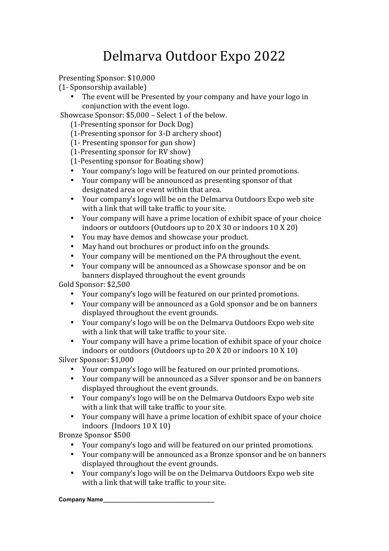## Delmarva Outdoor Expo 2022

Presenting Sponsor: \$10,000

- (1- Sponsorship available)
	- The event will be Presented by your company and have your logo in conjunction with the event logo.

Showcase Sponsor: \$5,000 – Select 1 of the below.

(1-Presenting sponsor for Dock Dog)

(1-Presenting sponsor for 3-D archery shoot)

(1- Presenting sponsor for gun show)

 $(1-Presenting sponsor for RV show)$ 

(1-Pesenting sponsor for Boating show)

- Your company's logo will be featured on our printed promotions.<br>• Your company will be announced as presenting sponsor of that
- Your company will be announced as presenting sponsor of that designated area or event within that area.
- Your company's logo will be on the Delmarva Outdoors Expo web site with a link that will take traffic to your site.
- Your company will have a prime location of exhibit space of your choice indoors or outdoors (Outdoors up to  $20 \text{ X } 30$  or indoors  $10 \text{ X } 20$ )
- You may have demos and showcase your product.
- May hand out brochures or product info on the grounds.
- Your company will be mentioned on the PA throughout the event.
- Your company will be announced as a Showcase sponsor and be on banners displayed throughout the event grounds

Gold Sponsor: \$2,500

- Your company's logo will be featured on our printed promotions.
- Your company will be announced as a Gold sponsor and be on banners displayed throughout the event grounds.
- Your company's logo will be on the Delmarya Outdoors Expo web site with a link that will take traffic to your site.
- Your company will have a prime location of exhibit space of your choice indoors or outdoors (Outdoors up to  $20 \times 20$  or indoors  $10 \times 10$ )

Silver Sponsor: \$1,000

- Your company's logo will be featured on our printed promotions.
- Your company will be announced as a Silver sponsor and be on banners displayed throughout the event grounds.
- Your company's logo will be on the Delmarya Outdoors Expo web site with a link that will take traffic to your site.
- Your company will have a prime location of exhibit space of your choice indoors  $(Indoors 10 X 10)$

Bronze Sponsor \$500

- Your company's logo and will be featured on our printed promotions.
- Your company will be announced as a Bronze sponsor and be on banners displayed throughout the event grounds.
- Your company's logo will be on the Delmarya Outdoors Expo web site with a link that will take traffic to your site.

## **Company Name\_\_\_\_\_\_\_\_\_\_\_\_\_\_\_\_\_\_\_\_\_\_\_\_\_\_\_\_\_\_\_\_\_\_**